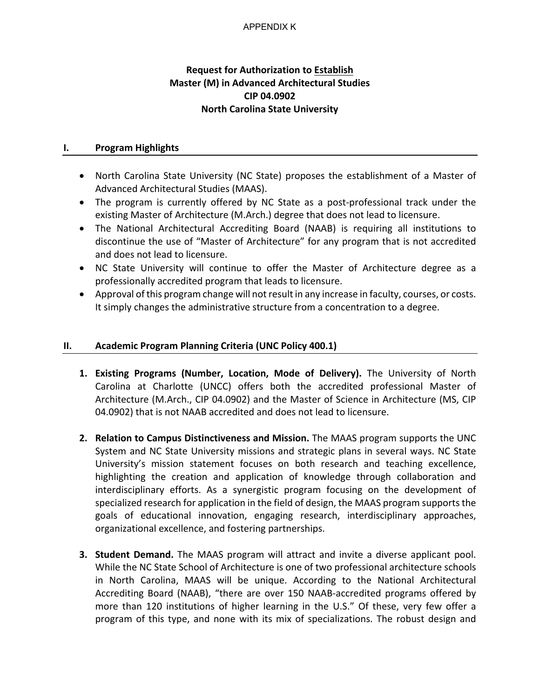# **Request for Authorization to Establish Master (M) in Advanced Architectural Studies CIP 04.0902 North Carolina State University**

## **I. Program Highlights**

- North Carolina State University (NC State) proposes the establishment of a Master of Advanced Architectural Studies (MAAS).
- The program is currently offered by NC State as a post-professional track under the existing Master of Architecture (M.Arch.) degree that does not lead to licensure.
- The National Architectural Accrediting Board (NAAB) is requiring all institutions to discontinue the use of "Master of Architecture" for any program that is not accredited and does not lead to licensure.
- NC State University will continue to offer the Master of Architecture degree as a professionally accredited program that leads to licensure.
- Approval of this program change will not result in any increase in faculty, courses, or costs. It simply changes the administrative structure from a concentration to a degree.

# **II. Academic Program Planning Criteria (UNC Policy 400.1)**

- **1. Existing Programs (Number, Location, Mode of Delivery).** The University of North Carolina at Charlotte (UNCC) offers both the accredited professional Master of Architecture (M.Arch., CIP 04.0902) and the Master of Science in Architecture (MS, CIP 04.0902) that is not NAAB accredited and does not lead to licensure.
- **2. Relation to Campus Distinctiveness and Mission.** The MAAS program supports the UNC System and NC State University missions and strategic plans in several ways. NC State University's mission statement focuses on both research and teaching excellence, highlighting the creation and application of knowledge through collaboration and interdisciplinary efforts. As a synergistic program focusing on the development of specialized research for application in the field of design, the MAAS program supports the goals of educational innovation, engaging research, interdisciplinary approaches, organizational excellence, and fostering partnerships.
- **3. Student Demand.** The MAAS program will attract and invite a diverse applicant pool. While the NC State School of Architecture is one of two professional architecture schools in North Carolina, MAAS will be unique. According to the National Architectural Accrediting Board (NAAB), "there are over 150 NAAB-accredited programs offered by more than 120 institutions of higher learning in the U.S." Of these, very few offer a program of this type, and none with its mix of specializations. The robust design and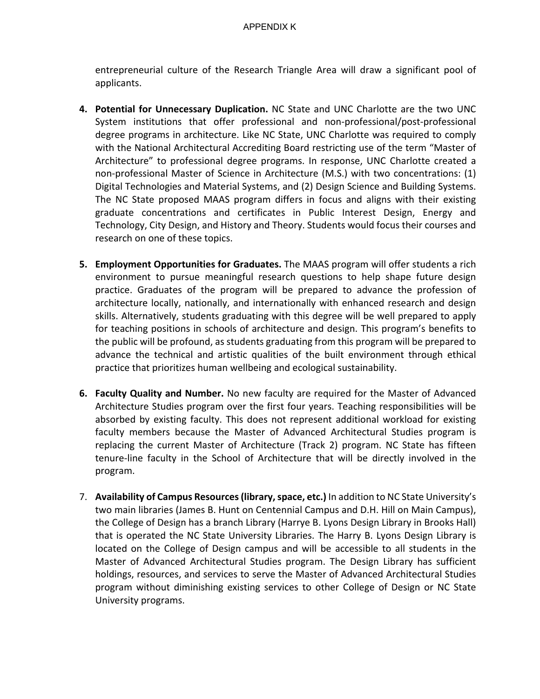entrepreneurial culture of the Research Triangle Area will draw a significant pool of applicants.

- **4. Potential for Unnecessary Duplication.** NC State and UNC Charlotte are the two UNC System institutions that offer professional and non-professional/post-professional degree programs in architecture. Like NC State, UNC Charlotte was required to comply with the National Architectural Accrediting Board restricting use of the term "Master of Architecture" to professional degree programs. In response, UNC Charlotte created a non-professional Master of Science in Architecture (M.S.) with two concentrations: (1) Digital Technologies and Material Systems, and (2) Design Science and Building Systems. The NC State proposed MAAS program differs in focus and aligns with their existing graduate concentrations and certificates in Public Interest Design, Energy and Technology, City Design, and History and Theory. Students would focus their courses and research on one of these topics.
- **5. Employment Opportunities for Graduates.** The MAAS program will offer students a rich environment to pursue meaningful research questions to help shape future design practice. Graduates of the program will be prepared to advance the profession of architecture locally, nationally, and internationally with enhanced research and design skills. Alternatively, students graduating with this degree will be well prepared to apply for teaching positions in schools of architecture and design. This program's benefits to the public will be profound, as students graduating from this program will be prepared to advance the technical and artistic qualities of the built environment through ethical practice that prioritizes human wellbeing and ecological sustainability.
- **6. Faculty Quality and Number.** No new faculty are required for the Master of Advanced Architecture Studies program over the first four years. Teaching responsibilities will be absorbed by existing faculty. This does not represent additional workload for existing faculty members because the Master of Advanced Architectural Studies program is replacing the current Master of Architecture (Track 2) program. NC State has fifteen tenure-line faculty in the School of Architecture that will be directly involved in the program.
- 7. **Availability of Campus Resources (library, space, etc.)** In addition to NC State University's two main libraries (James B. Hunt on Centennial Campus and D.H. Hill on Main Campus), the College of Design has a branch Library (Harrye B. Lyons Design Library in Brooks Hall) that is operated the NC State University Libraries. The Harry B. Lyons Design Library is located on the College of Design campus and will be accessible to all students in the Master of Advanced Architectural Studies program. The Design Library has sufficient holdings, resources, and services to serve the Master of Advanced Architectural Studies program without diminishing existing services to other College of Design or NC State University programs.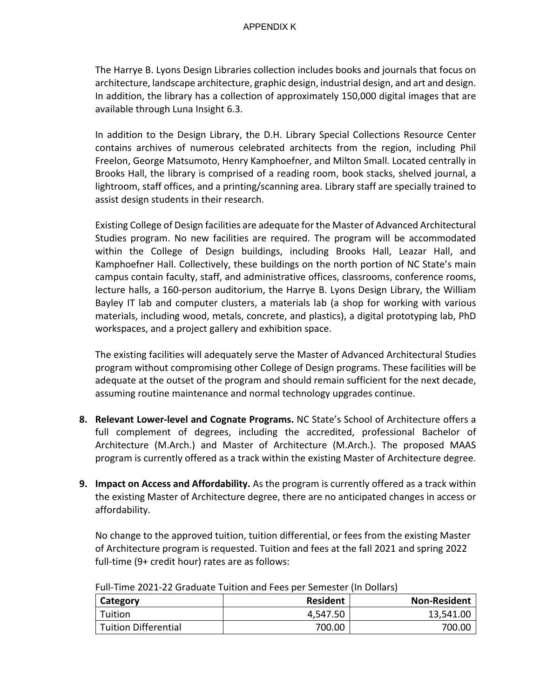The Harrye B. Lyons Design Libraries collection includes books and journals that focus on architecture, landscape architecture, graphic design, industrial design, and art and design. In addition, the library has a collection of approximately 150,000 digital images that are available through Luna Insight 6.3.

In addition to the Design Library, the D.H. Library Special Collections Resource Center contains archives of numerous celebrated architects from the region, including Phil Freelon, George Matsumoto, Henry Kamphoefner, and Milton Small. Located centrally in Brooks Hall, the library is comprised of a reading room, book stacks, shelved journal, a lightroom, staff offices, and a printing/scanning area. Library staff are specially trained to assist design students in their research.

Existing College of Design facilities are adequate for the Master of Advanced Architectural Studies program. No new facilities are required. The program will be accommodated within the College of Design buildings, including Brooks Hall, Leazar Hall, and Kamphoefner Hall. Collectively, these buildings on the north portion of NC State's main campus contain faculty, staff, and administrative offices, classrooms, conference rooms, lecture halls, a 160-person auditorium, the Harrye B. Lyons Design Library, the William Bayley IT lab and computer clusters, a materials lab (a shop for working with various materials, including wood, metals, concrete, and plastics), a digital prototyping lab, PhD workspaces, and a project gallery and exhibition space.

The existing facilities will adequately serve the Master of Advanced Architectural Studies program without compromising other College of Design programs. These facilities will be adequate at the outset of the program and should remain sufficient for the next decade, assuming routine maintenance and normal technology upgrades continue.

- **8. Relevant Lower-level and Cognate Programs.** NC State's School of Architecture offers a full complement of degrees, including the accredited, professional Bachelor of Architecture (M.Arch.) and Master of Architecture (M.Arch.). The proposed MAAS program is currently offered as a track within the existing Master of Architecture degree.
- **9. Impact on Access and Affordability.** As the program is currently offered as a track within the existing Master of Architecture degree, there are no anticipated changes in access or affordability.

No change to the approved tuition, tuition differential, or fees from the existing Master of Architecture program is requested. Tuition and fees at the fall 2021 and spring 2022 full-time (9+ credit hour) rates are as follows:

| <b>Category</b>      | <b>Resident</b> | <b>Non-Resident</b> |
|----------------------|-----------------|---------------------|
| Tuition              | 4,547.50        | 13,541.00           |
| Tuition Differential | 700.00          | 700.OC              |

Full-Time 2021-22 Graduate Tuition and Fees per Semester (In Dollars)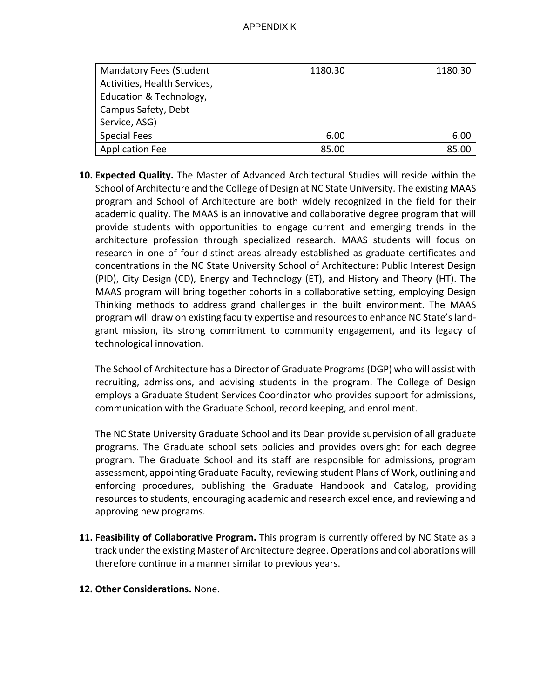| <b>Mandatory Fees (Student</b> | 1180.30 | 1180.30 |
|--------------------------------|---------|---------|
| Activities, Health Services,   |         |         |
| Education & Technology,        |         |         |
| Campus Safety, Debt            |         |         |
| Service, ASG)                  |         |         |
| <b>Special Fees</b>            | 6.00    | 6.00    |
| <b>Application Fee</b>         | 85.00   | 85.00   |

**10. Expected Quality.** The Master of Advanced Architectural Studies will reside within the School of Architecture and the College of Design at NC State University. The existing MAAS program and School of Architecture are both widely recognized in the field for their academic quality. The MAAS is an innovative and collaborative degree program that will provide students with opportunities to engage current and emerging trends in the architecture profession through specialized research. MAAS students will focus on research in one of four distinct areas already established as graduate certificates and concentrations in the NC State University School of Architecture: Public Interest Design (PID), City Design (CD), Energy and Technology (ET), and History and Theory (HT). The MAAS program will bring together cohorts in a collaborative setting, employing Design Thinking methods to address grand challenges in the built environment. The MAAS program will draw on existing faculty expertise and resources to enhance NC State's landgrant mission, its strong commitment to community engagement, and its legacy of technological innovation.

The School of Architecture has a Director of Graduate Programs (DGP) who will assist with recruiting, admissions, and advising students in the program. The College of Design employs a Graduate Student Services Coordinator who provides support for admissions, communication with the Graduate School, record keeping, and enrollment.

The NC State University Graduate School and its Dean provide supervision of all graduate programs. The Graduate school sets policies and provides oversight for each degree program. The Graduate School and its staff are responsible for admissions, program assessment, appointing Graduate Faculty, reviewing student Plans of Work, outlining and enforcing procedures, publishing the Graduate Handbook and Catalog, providing resources to students, encouraging academic and research excellence, and reviewing and approving new programs.

- **11. Feasibility of Collaborative Program.** This program is currently offered by NC State as a track under the existing Master of Architecture degree. Operations and collaborations will therefore continue in a manner similar to previous years.
- **12. Other Considerations.** None.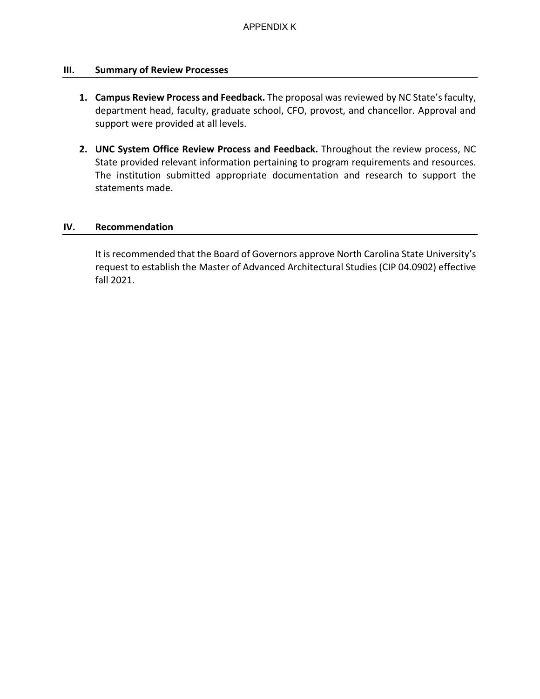## **III. Summary of Review Processes**

- **1. Campus Review Process and Feedback.** The proposal was reviewed by NC State's faculty, department head, faculty, graduate school, CFO, provost, and chancellor. Approval and support were provided at all levels.
- **2. UNC System Office Review Process and Feedback.** Throughout the review process, NC State provided relevant information pertaining to program requirements and resources. The institution submitted appropriate documentation and research to support the statements made.

## **IV. Recommendation**

It is recommended that the Board of Governors approve North Carolina State University's request to establish the Master of Advanced Architectural Studies (CIP 04.0902) effective fall 2021.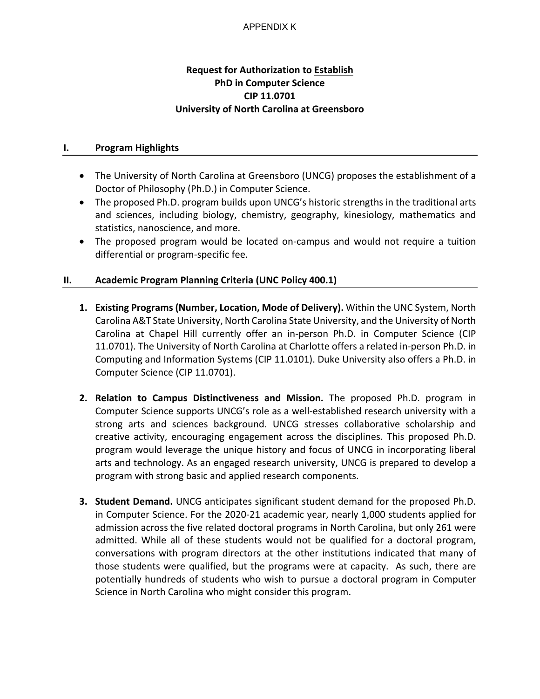# **Request for Authorization to Establish PhD in Computer Science CIP 11.0701 University of North Carolina at Greensboro**

## **I. Program Highlights**

- The University of North Carolina at Greensboro (UNCG) proposes the establishment of a Doctor of Philosophy (Ph.D.) in Computer Science.
- The proposed Ph.D. program builds upon UNCG's historic strengths in the traditional arts and sciences, including biology, chemistry, geography, kinesiology, mathematics and statistics, nanoscience, and more.
- The proposed program would be located on-campus and would not require a tuition differential or program-specific fee.

# **II. Academic Program Planning Criteria (UNC Policy 400.1)**

- **1. Existing Programs (Number, Location, Mode of Delivery).** Within the UNC System, North Carolina A&T State University, North Carolina State University, and the University of North Carolina at Chapel Hill currently offer an in-person Ph.D. in Computer Science (CIP 11.0701). The University of North Carolina at Charlotte offers a related in-person Ph.D. in Computing and Information Systems (CIP 11.0101). Duke University also offers a Ph.D. in Computer Science (CIP 11.0701).
- **2. Relation to Campus Distinctiveness and Mission.** The proposed Ph.D. program in Computer Science supports UNCG's role as a well-established research university with a strong arts and sciences background. UNCG stresses collaborative scholarship and creative activity, encouraging engagement across the disciplines. This proposed Ph.D. program would leverage the unique history and focus of UNCG in incorporating liberal arts and technology. As an engaged research university, UNCG is prepared to develop a program with strong basic and applied research components.
- **3. Student Demand.** UNCG anticipates significant student demand for the proposed Ph.D. in Computer Science. For the 2020-21 academic year, nearly 1,000 students applied for admission across the five related doctoral programs in North Carolina, but only 261 were admitted. While all of these students would not be qualified for a doctoral program, conversations with program directors at the other institutions indicated that many of those students were qualified, but the programs were at capacity. As such, there are potentially hundreds of students who wish to pursue a doctoral program in Computer Science in North Carolina who might consider this program.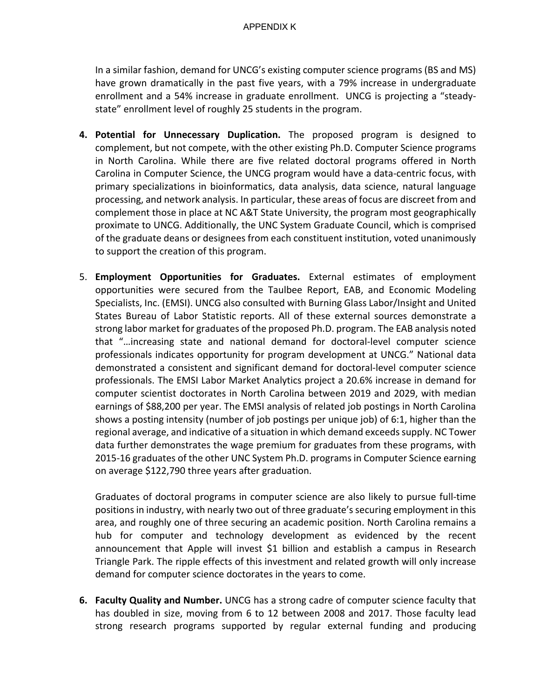In a similar fashion, demand for UNCG's existing computer science programs (BS and MS) have grown dramatically in the past five years, with a 79% increase in undergraduate enrollment and a 54% increase in graduate enrollment. UNCG is projecting a "steadystate" enrollment level of roughly 25 students in the program.

- **4. Potential for Unnecessary Duplication.** The proposed program is designed to complement, but not compete, with the other existing Ph.D. Computer Science programs in North Carolina. While there are five related doctoral programs offered in North Carolina in Computer Science, the UNCG program would have a data-centric focus, with primary specializations in bioinformatics, data analysis, data science, natural language processing, and network analysis. In particular, these areas of focus are discreet from and complement those in place at NC A&T State University, the program most geographically proximate to UNCG. Additionally, the UNC System Graduate Council, which is comprised of the graduate deans or designees from each constituent institution, voted unanimously to support the creation of this program.
- 5. **Employment Opportunities for Graduates.** External estimates of employment opportunities were secured from the Taulbee Report, EAB, and Economic Modeling Specialists, Inc. (EMSI). UNCG also consulted with Burning Glass Labor/Insight and United States Bureau of Labor Statistic reports. All of these external sources demonstrate a strong labor market for graduates of the proposed Ph.D. program. The EAB analysis noted that "…increasing state and national demand for doctoral-level computer science professionals indicates opportunity for program development at UNCG." National data demonstrated a consistent and significant demand for doctoral-level computer science professionals. The EMSI Labor Market Analytics project a 20.6% increase in demand for computer scientist doctorates in North Carolina between 2019 and 2029, with median earnings of \$88,200 per year. The EMSI analysis of related job postings in North Carolina shows a posting intensity (number of job postings per unique job) of 6:1, higher than the regional average, and indicative of a situation in which demand exceeds supply. NC Tower data further demonstrates the wage premium for graduates from these programs, with 2015-16 graduates of the other UNC System Ph.D. programs in Computer Science earning on average \$122,790 three years after graduation.

Graduates of doctoral programs in computer science are also likely to pursue full-time positions in industry, with nearly two out of three graduate's securing employment in this area, and roughly one of three securing an academic position. North Carolina remains a hub for computer and technology development as evidenced by the recent announcement that Apple will invest \$1 billion and establish a campus in Research Triangle Park. The ripple effects of this investment and related growth will only increase demand for computer science doctorates in the years to come.

**6. Faculty Quality and Number.** UNCG has a strong cadre of computer science faculty that has doubled in size, moving from 6 to 12 between 2008 and 2017. Those faculty lead strong research programs supported by regular external funding and producing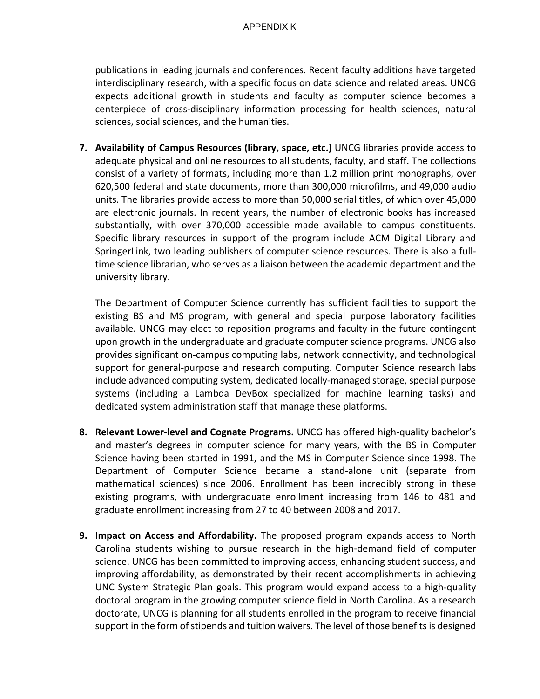publications in leading journals and conferences. Recent faculty additions have targeted interdisciplinary research, with a specific focus on data science and related areas. UNCG expects additional growth in students and faculty as computer science becomes a centerpiece of cross-disciplinary information processing for health sciences, natural sciences, social sciences, and the humanities.

**7. Availability of Campus Resources (library, space, etc.)** UNCG libraries provide access to adequate physical and online resources to all students, faculty, and staff. The collections consist of a variety of formats, including more than 1.2 million print monographs, over 620,500 federal and state documents, more than 300,000 microfilms, and 49,000 audio units. The libraries provide access to more than 50,000 serial titles, of which over 45,000 are electronic journals. In recent years, the number of electronic books has increased substantially, with over 370,000 accessible made available to campus constituents. Specific library resources in support of the program include ACM Digital Library and SpringerLink, two leading publishers of computer science resources. There is also a fulltime science librarian, who serves as a liaison between the academic department and the university library.

The Department of Computer Science currently has sufficient facilities to support the existing BS and MS program, with general and special purpose laboratory facilities available. UNCG may elect to reposition programs and faculty in the future contingent upon growth in the undergraduate and graduate computer science programs. UNCG also provides significant on-campus computing labs, network connectivity, and technological support for general-purpose and research computing. Computer Science research labs include advanced computing system, dedicated locally-managed storage, special purpose systems (including a Lambda DevBox specialized for machine learning tasks) and dedicated system administration staff that manage these platforms.

- **8. Relevant Lower-level and Cognate Programs.** UNCG has offered high-quality bachelor's and master's degrees in computer science for many years, with the BS in Computer Science having been started in 1991, and the MS in Computer Science since 1998. The Department of Computer Science became a stand-alone unit (separate from mathematical sciences) since 2006. Enrollment has been incredibly strong in these existing programs, with undergraduate enrollment increasing from 146 to 481 and graduate enrollment increasing from 27 to 40 between 2008 and 2017.
- **9. Impact on Access and Affordability.** The proposed program expands access to North Carolina students wishing to pursue research in the high-demand field of computer science. UNCG has been committed to improving access, enhancing student success, and improving affordability, as demonstrated by their recent accomplishments in achieving UNC System Strategic Plan goals. This program would expand access to a high-quality doctoral program in the growing computer science field in North Carolina. As a research doctorate, UNCG is planning for all students enrolled in the program to receive financial support in the form of stipends and tuition waivers. The level of those benefits is designed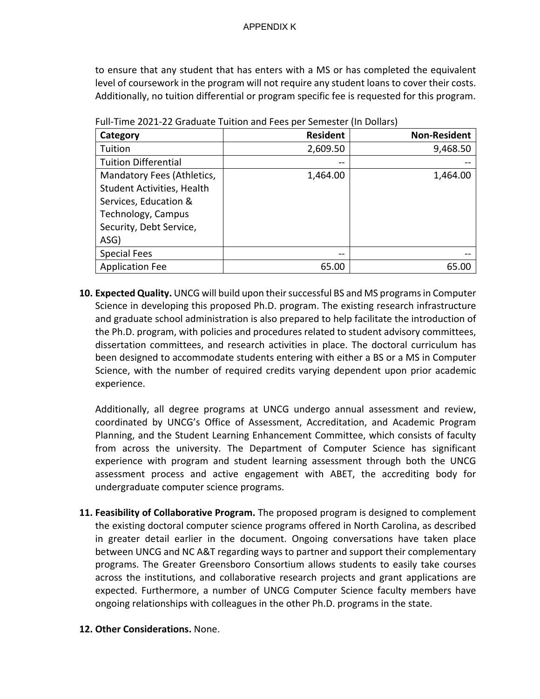to ensure that any student that has enters with a MS or has completed the equivalent level of coursework in the program will not require any student loans to cover their costs. Additionally, no tuition differential or program specific fee is requested for this program.

| Category                          | <b>Resident</b> | <b>Non-Resident</b> |
|-----------------------------------|-----------------|---------------------|
| Tuition                           | 2,609.50        | 9,468.50            |
| <b>Tuition Differential</b>       |                 |                     |
| Mandatory Fees (Athletics,        | 1,464.00        | 1,464.00            |
| <b>Student Activities, Health</b> |                 |                     |
| Services, Education &             |                 |                     |
| Technology, Campus                |                 |                     |
| Security, Debt Service,           |                 |                     |
| ASG)                              |                 |                     |
| <b>Special Fees</b>               | --              |                     |
| <b>Application Fee</b>            | 65.00           | 65.00               |

Full-Time 2021-22 Graduate Tuition and Fees per Semester (In Dollars)

**10. Expected Quality.** UNCG will build upon their successful BS and MS programs in Computer Science in developing this proposed Ph.D. program. The existing research infrastructure and graduate school administration is also prepared to help facilitate the introduction of the Ph.D. program, with policies and procedures related to student advisory committees, dissertation committees, and research activities in place. The doctoral curriculum has been designed to accommodate students entering with either a BS or a MS in Computer Science, with the number of required credits varying dependent upon prior academic experience.

Additionally, all degree programs at UNCG undergo annual assessment and review, coordinated by UNCG's Office of Assessment, Accreditation, and Academic Program Planning, and the Student Learning Enhancement Committee, which consists of faculty from across the university. The Department of Computer Science has significant experience with program and student learning assessment through both the UNCG assessment process and active engagement with ABET, the accrediting body for undergraduate computer science programs.

- **11. Feasibility of Collaborative Program.** The proposed program is designed to complement the existing doctoral computer science programs offered in North Carolina, as described in greater detail earlier in the document. Ongoing conversations have taken place between UNCG and NC A&T regarding ways to partner and support their complementary programs. The Greater Greensboro Consortium allows students to easily take courses across the institutions, and collaborative research projects and grant applications are expected. Furthermore, a number of UNCG Computer Science faculty members have ongoing relationships with colleagues in the other Ph.D. programs in the state.
- **12. Other Considerations.** None.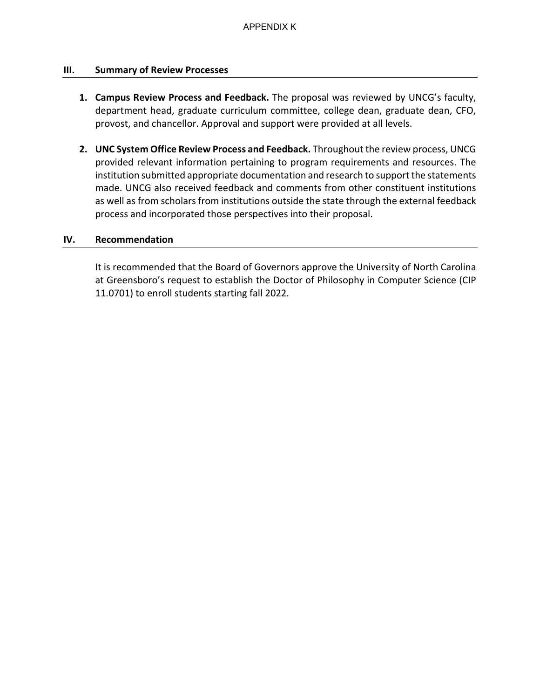## **III. Summary of Review Processes**

- **1. Campus Review Process and Feedback.** The proposal was reviewed by UNCG's faculty, department head, graduate curriculum committee, college dean, graduate dean, CFO, provost, and chancellor. Approval and support were provided at all levels.
- **2. UNC System Office Review Process and Feedback.** Throughout the review process, UNCG provided relevant information pertaining to program requirements and resources. The institution submitted appropriate documentation and research to support the statements made. UNCG also received feedback and comments from other constituent institutions as well as from scholars from institutions outside the state through the external feedback process and incorporated those perspectives into their proposal.

## **IV. Recommendation**

It is recommended that the Board of Governors approve the University of North Carolina at Greensboro's request to establish the Doctor of Philosophy in Computer Science (CIP 11.0701) to enroll students starting fall 2022.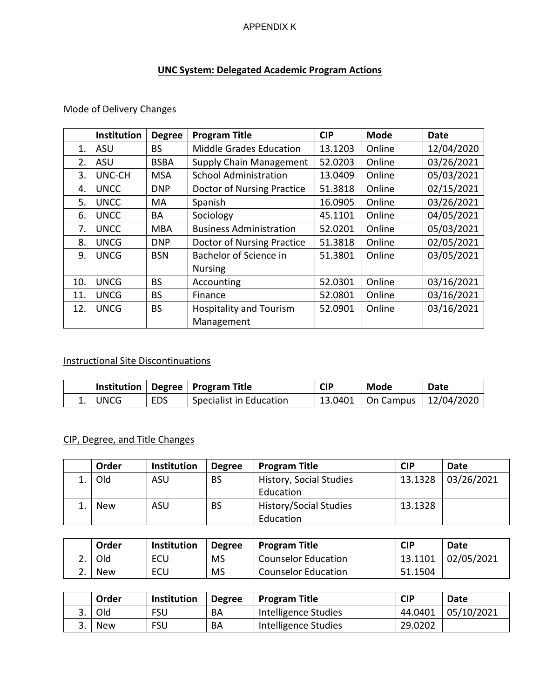# **UNC System: Delegated Academic Program Actions**

# Mode of Delivery Changes

|     | Institution | <b>Degree</b> | <b>Program Title</b>           | <b>CIP</b> | <b>Mode</b> | Date       |
|-----|-------------|---------------|--------------------------------|------------|-------------|------------|
| 1.  | ASU         | <b>BS</b>     | <b>Middle Grades Education</b> | 13.1203    | Online      | 12/04/2020 |
| 2.  | ASU         | <b>BSBA</b>   | <b>Supply Chain Management</b> | 52.0203    | Online      | 03/26/2021 |
| 3.  | UNC-CH      | <b>MSA</b>    | <b>School Administration</b>   | 13.0409    | Online      | 05/03/2021 |
| 4.  | <b>UNCC</b> | <b>DNP</b>    | Doctor of Nursing Practice     | 51.3818    | Online      | 02/15/2021 |
| 5.  | <b>UNCC</b> | MA            | Spanish                        | 16.0905    | Online      | 03/26/2021 |
| 6.  | <b>UNCC</b> | BА            | Sociology                      | 45.1101    | Online      | 04/05/2021 |
| 7.  | <b>UNCC</b> | <b>MBA</b>    | <b>Business Administration</b> | 52.0201    | Online      | 05/03/2021 |
| 8.  | <b>UNCG</b> | <b>DNP</b>    | Doctor of Nursing Practice     | 51.3818    | Online      | 02/05/2021 |
| 9.  | <b>UNCG</b> | <b>BSN</b>    | Bachelor of Science in         | 51.3801    | Online      | 03/05/2021 |
|     |             |               | <b>Nursing</b>                 |            |             |            |
| 10. | <b>UNCG</b> | <b>BS</b>     | Accounting                     | 52.0301    | Online      | 03/16/2021 |
| 11. | <b>UNCG</b> | <b>BS</b>     | Finance                        | 52.0801    | Online      | 03/16/2021 |
| 12. | <b>UNCG</b> | <b>BS</b>     | <b>Hospitality and Tourism</b> | 52.0901    | Online      | 03/16/2021 |
|     |             |               | Management                     |            |             |            |

# Instructional Site Discontinuations

|          |            | Institution   Degree   Program Title | <b>CIP</b> | Mode                                    | Date |
|----------|------------|--------------------------------------|------------|-----------------------------------------|------|
| . I UNCG | <b>EDS</b> | Specialist in Education              |            | $\mid$ 13.0401   On Campus   12/04/2020 |      |

# CIP, Degree, and Title Changes

| Order      | <b>Institution</b> | <b>Degree</b> | <b>Program Title</b>          | <b>CIP</b> | Date       |
|------------|--------------------|---------------|-------------------------------|------------|------------|
| Old        | ASU                | <b>BS</b>     | History, Social Studies       | 13.1328    | 03/26/2021 |
|            |                    |               | Education                     |            |            |
| <b>New</b> | ASU                | <b>BS</b>     | <b>History/Social Studies</b> | 13.1328    |            |
|            |                    |               | Education                     |            |            |

|     | Order      | <b>Institution</b> | <b>Degree</b> | <b>Program Title</b>       | <b>CIP</b> | Date       |
|-----|------------|--------------------|---------------|----------------------------|------------|------------|
|     | Old        | ECU                | <b>MS</b>     | <b>Counselor Education</b> | 13.1101    | 02/05/2021 |
| ـ ـ | <b>New</b> | ECU                | <b>MS</b>     | <b>Counselor Education</b> | 51.1504    |            |

|            | Order      | <b>Institution</b> | <b>Degree</b> | <b>Program Title</b> | <b>CIP</b> | Date       |
|------------|------------|--------------------|---------------|----------------------|------------|------------|
| <u>. .</u> | Old        | <b>FSU</b>         | BA            | Intelligence Studies | 44.0401    | 05/10/2021 |
|            | <b>New</b> | <b>FSU</b>         | BA            | Intelligence Studies | 29.0202    |            |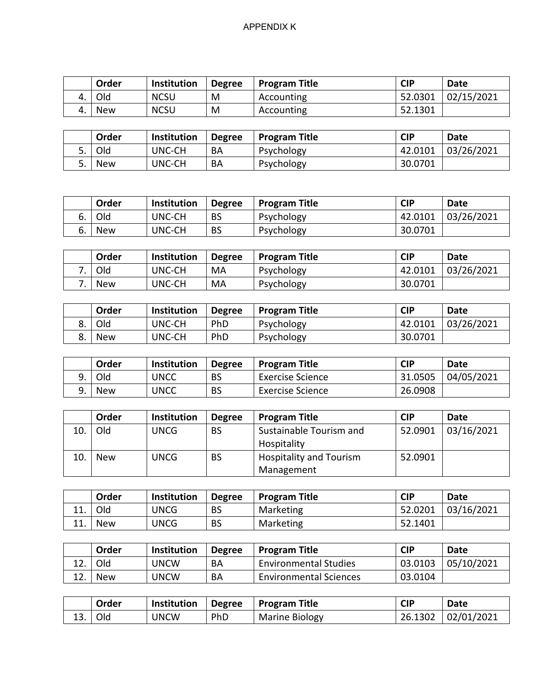|    | Order      | <b>Institution</b> | <b>Degree</b> | <b>Program Title</b> | <b>CIP</b> | <b>Date</b> |
|----|------------|--------------------|---------------|----------------------|------------|-------------|
| 4. | Old        | <b>NCSU</b>        | M             | Accounting           | 52.0301    | 02/15/2021  |
| 4. | <b>New</b> | <b>NCSU</b>        | M             | Accounting           | 52.1301    |             |

| Order      | <b>Institution</b> | <b>Degree</b> | <b>Program Title</b> | <b>CIP</b> | Date       |
|------------|--------------------|---------------|----------------------|------------|------------|
| Old        | UNC-CH             | BA            | Psychology           | 42.0101    | 03/26/2021 |
| <b>New</b> | UNC-CH             | BA            | Psychology           | 30.0701    |            |

|    | Order      | <b>Institution</b> | <b>Degree</b> | <b>Program Title</b> | <b>CIP</b> | Date       |
|----|------------|--------------------|---------------|----------------------|------------|------------|
|    | <b>Old</b> | <b>UNC-CH</b>      | <b>BS</b>     | Psychology           | 42.0101    | 03/26/2021 |
| ь. | New        | <b>UNC-CH</b>      | <b>BS</b>     | Psychology           | 30.0701    |            |

| Order      | Institution | <b>Degree</b> | <b>Program Title</b> | <b>CIP</b> | Date       |
|------------|-------------|---------------|----------------------|------------|------------|
| Old        | UNC-CH      | MA            | Psychology           | 42.0101    | 03/26/2021 |
| <b>New</b> | UNC-CH      | MA            | Psychology           | 30.0701    |            |

|    | Order | <b>Institution</b> | <b>Degree</b> | <b>Program Title</b> | CIP     | Date       |
|----|-------|--------------------|---------------|----------------------|---------|------------|
| o. | Old   | UNC-CH             | PhD           | Psychology           | 42.0101 | 03/26/2021 |
| o. | New   | UNC-CH             | PhD           | Psychology           | 30.0701 |            |

| Order | <b>Institution</b> | <b>Degree</b> | <b>Program Title</b> | <b>CIP</b> | Date       |
|-------|--------------------|---------------|----------------------|------------|------------|
| Old   | UNCC               | BS            | Exercise Science     | 31.0505    | 04/05/2021 |
| New   | UNCC               | <b>BS</b>     | Exercise Science     | 26.0908    |            |

|     | Order      | Institution | <b>Degree</b> | <b>Program Title</b>           | <b>CIP</b> | Date       |
|-----|------------|-------------|---------------|--------------------------------|------------|------------|
| 10. | Old        | <b>UNCG</b> | <b>BS</b>     | Sustainable Tourism and        | 52.0901    | 03/16/2021 |
|     |            |             |               | Hospitality                    |            |            |
| 10. | <b>New</b> | <b>UNCG</b> | <b>BS</b>     | <b>Hospitality and Tourism</b> | 52.0901    |            |
|     |            |             |               | Management                     |            |            |

|     | Order      | Institution | <b>Degree</b> | <b>Program Title</b> | <b>CIP</b> | Date       |
|-----|------------|-------------|---------------|----------------------|------------|------------|
| 11  | Old        | <b>JNCG</b> | <b>BS</b>     | Marketing            | 52.0201    | 03/16/2021 |
| 11. | <b>New</b> | <b>JNCG</b> | <b>BS</b>     | Marketing            | 52.1401    |            |

| Order      | <b>Institution</b> | <b>Degree</b> | <b>Program Title</b>          | <b>CIP</b> | Date       |
|------------|--------------------|---------------|-------------------------------|------------|------------|
| Old        | <b>JNCW</b>        | BA            | <b>Environmental Studies</b>  | 03.0103    | 05/10/2021 |
| <b>New</b> | <b>JNCW</b>        | BA            | <b>Environmental Sciences</b> | 03.0104    |            |

|     | Order | <b>Institution</b> | <b>Degree</b> | <b>Program Title</b>  | <b>CIP</b> | <b>Date</b> |
|-----|-------|--------------------|---------------|-----------------------|------------|-------------|
| 13. | Old   | <b>UNCW</b>        | PhD           | <b>Marine Biology</b> | 26.1302    | 02/01/2021  |